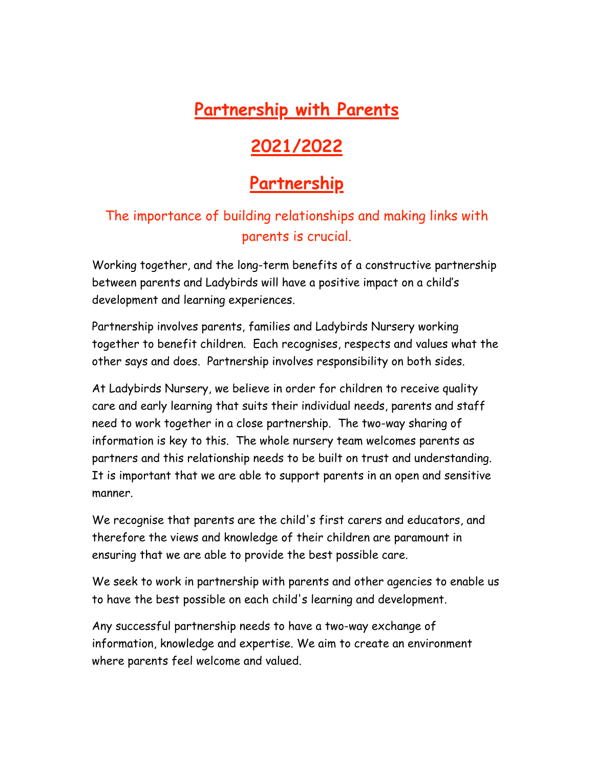# **Partnership with Parents**

# **2021/2022**

# **Partnership**

### The importance of building relationships and making links with parents is crucial.

Working together, and the long-term benefits of a constructive partnership between parents and Ladybirds will have a positive impact on a child's development and learning experiences.

Partnership involves parents, families and Ladybirds Nursery working together to benefit children. Each recognises, respects and values what the other says and does. Partnership involves responsibility on both sides.

At Ladybirds Nursery, we believe in order for children to receive quality care and early learning that suits their individual needs, parents and staff need to work together in a close partnership. The two-way sharing of information is key to this. The whole nursery team welcomes parents as partners and this relationship needs to be built on trust and understanding. It is important that we are able to support parents in an open and sensitive manner.

We recognise that parents are the child's first carers and educators, and therefore the views and knowledge of their children are paramount in ensuring that we are able to provide the best possible care.

We seek to work in partnership with parents and other agencies to enable us to have the best possible on each child's learning and development.

Any successful partnership needs to have a two-way exchange of information, knowledge and expertise. We aim to create an environment where parents feel welcome and valued.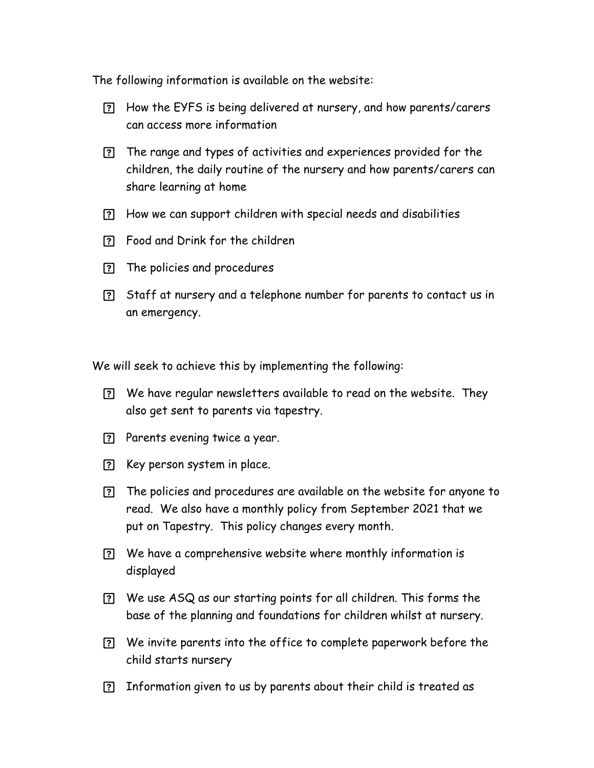The following information is available on the website:

- How the EYFS is being delivered at nursery, and how parents/carers can access more information
- The range and types of activities and experiences provided for the children, the daily routine of the nursery and how parents/carers can share learning at home
- How we can support children with special needs and disabilities
- Food and Drink for the children
- The policies and procedures
- Staff at nursery and a telephone number for parents to contact us in an emergency.

We will seek to achieve this by implementing the following:

- We have regular newsletters available to read on the website. They also get sent to parents via tapestry.
- Parents evening twice a year.
- **[?]** Key person system in place.
- The policies and procedures are available on the website for anyone to read. We also have a monthly policy from September 2021 that we put on Tapestry. This policy changes every month.
- We have a comprehensive website where monthly information is displayed
- We use ASQ as our starting points for all children. This forms the base of the planning and foundations for children whilst at nursery.
- We invite parents into the office to complete paperwork before the child starts nursery
- Information given to us by parents about their child is treated as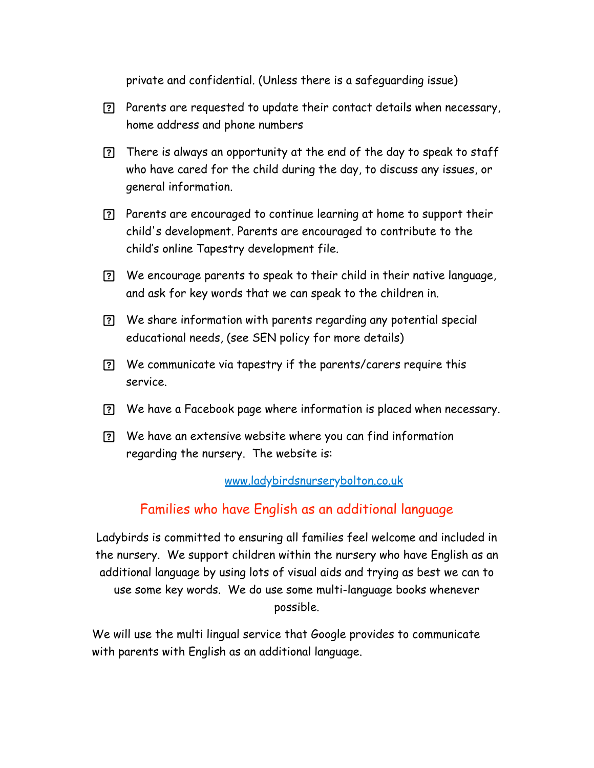private and confidential. (Unless there is a safeguarding issue)

- Parents are requested to update their contact details when necessary, home address and phone numbers
- There is always an opportunity at the end of the day to speak to staff who have cared for the child during the day, to discuss any issues, or general information.
- Parents are encouraged to continue learning at home to support their child's development. Parents are encouraged to contribute to the child's online Tapestry development file.
- We encourage parents to speak to their child in their native language, and ask for key words that we can speak to the children in.
- We share information with parents regarding any potential special educational needs, (see SEN policy for more details)
- We communicate via tapestry if the parents/carers require this service.
- We have a Facebook page where information is placed when necessary.
- We have an extensive website where you can find information regarding the nursery. The website is:

#### [www.ladybirdsnurserybolton.co.uk](http://www.ladybirdsnurserybolton.co.uk)

#### Families who have English as an additional language

Ladybirds is committed to ensuring all families feel welcome and included in the nursery. We support children within the nursery who have English as an additional language by using lots of visual aids and trying as best we can to use some key words. We do use some multi-language books whenever possible.

We will use the multi lingual service that Google provides to communicate with parents with English as an additional language.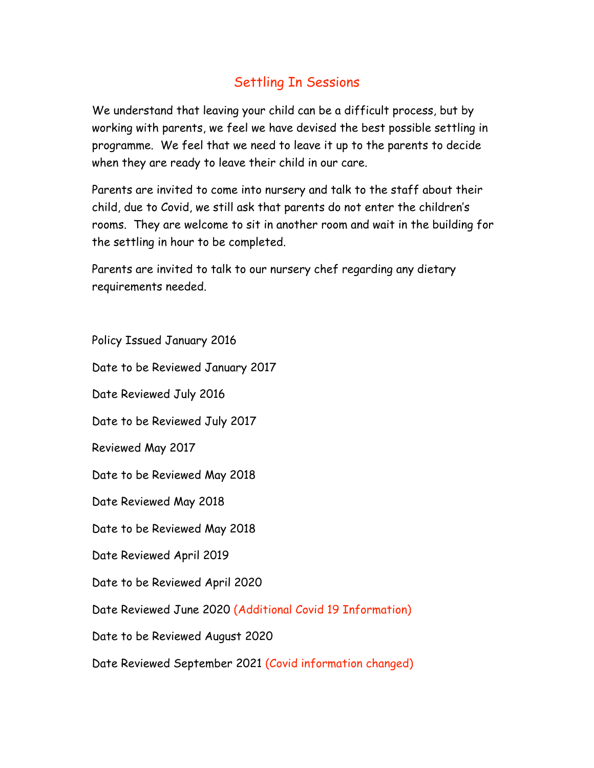### Settling In Sessions

We understand that leaving your child can be a difficult process, but by working with parents, we feel we have devised the best possible settling in programme. We feel that we need to leave it up to the parents to decide when they are ready to leave their child in our care.

Parents are invited to come into nursery and talk to the staff about their child, due to Covid, we still ask that parents do not enter the children's rooms. They are welcome to sit in another room and wait in the building for the settling in hour to be completed.

Parents are invited to talk to our nursery chef regarding any dietary requirements needed.

Policy Issued January 2016

Date to be Reviewed January 2017

Date Reviewed July 2016

Date to be Reviewed July 2017

Reviewed May 2017

Date to be Reviewed May 2018

Date Reviewed May 2018

Date to be Reviewed May 2018

Date Reviewed April 2019

Date to be Reviewed April 2020

Date Reviewed June 2020 (Additional Covid 19 Information)

Date to be Reviewed August 2020

Date Reviewed September 2021 (Covid information changed)